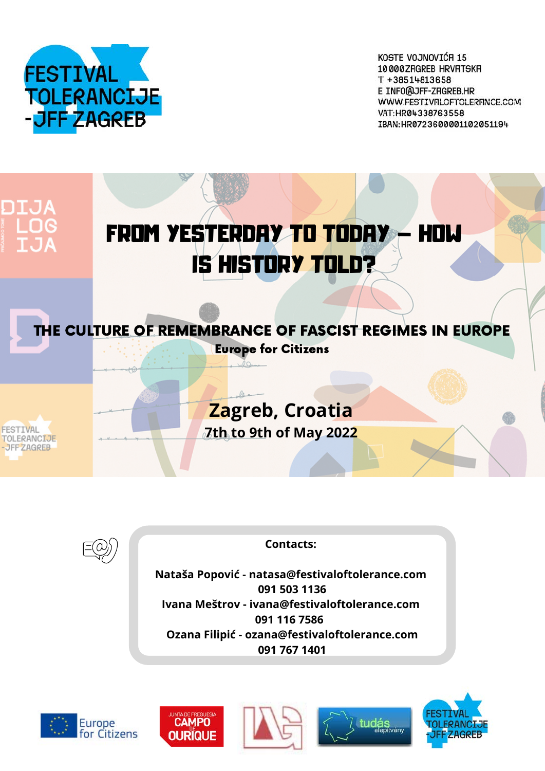

KOSTE VOJNOVIĆA 15 10000 ZRGREB HRVRTSKR T +38514813658 E INFO@JFF-ZRGREB.HR WWW.FESTIVFILOFTOLERFINCE.COM VAT:HR04338763558 IBAN:HR0723600001102051194





# **Contacts:**

**Nataša Popović - natasa@festivaloftolerance.com 091 503 1136 Ivana Meštrov - ivana@festivaloftolerance.com 091 116 7586 Ozana Filipić - ozana@festivaloftolerance.com 091 767 1401**









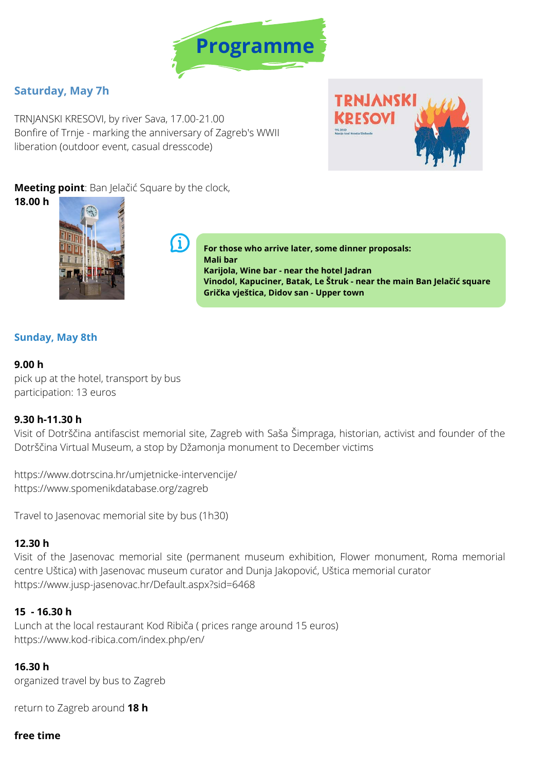

# **Saturday, May 7h**

TRNJANSKI KRESOVI, by river Sava, 17.00-21.00 Bonfire of Trnje - marking the anniversary of Zagreb's WWII liberation (outdoor event, casual dresscode)

-1



## **Meeting point**: Ban Jelačić Square by the clock,

**18.00 h**



**For those who arrive later, some dinner proposals: Mali bar Karijola, Wine bar - near the hotel Jadran Vinodol, Kapuciner, Batak, Le Štruk - near the main Ban Jelačić square Grička vještica, Didov san - Upper town**

## **Sunday, May 8th**

### **9.00 h**

pick up at the hotel, transport by bus participation: 13 euros

# **9.30 h-11.30 h**

Visit of Dotrščina antifascist memorial site, Zagreb with Saša Šimpraga, historian, activist and founder of the Dotrščina Virtual Museum, a stop by Džamonja monument to December victims

<https://www.dotrscina.hr/umjetnicke-intervencije/> https://www.spomenikdatabase.org/zagreb

Travel to Jasenovac memorial site by bus (1h30)

### **12.30 h**

Visit of the Jasenovac memorial site (permanent museum exhibition, Flower monument, Roma memorial centre Uštica) with Jasenovac museum curator and Dunja Jakopović, Uštica memorial curator <https://www.jusp-jasenovac.hr/Default.aspx?sid=6468>

### **15 - 16.30 h**

Lunch at the local restaurant Kod Ribiča ( prices range around 15 euros) <https://www.kod-ribica.com/index.php/en/>

### **16.30 h**

organized travel by bus to Zagreb

return to Zagreb around **18 h**

### **free time**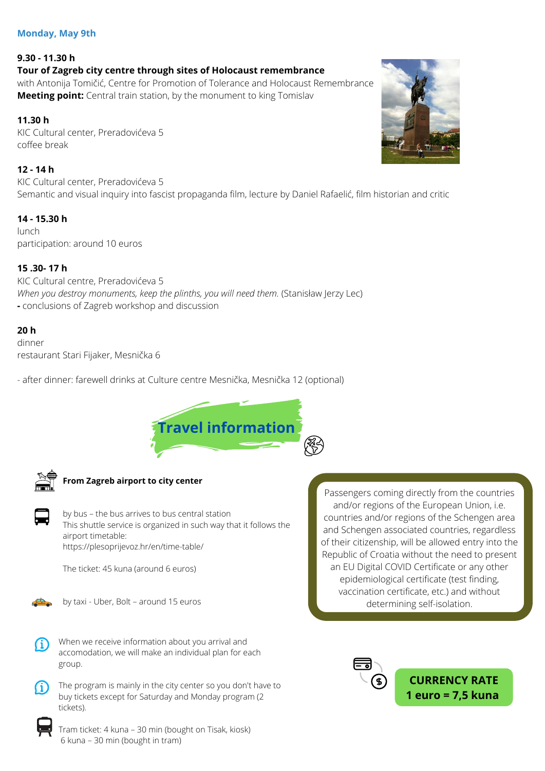#### **Monday, May 9th**

# **9.30 - 11.30 h Tour of Zagreb city centre through sites of Holocaust remembrance**

with Antonija Tomičić, Centre for Promotion of Tolerance and Holocaust Remembrance **Meeting point:** Central train station, by the monument to king Tomislav

### **11.30 h**

KIC Cultural center, Preradovićeva 5 coffee break

### **12 - 14 h**

KIC Cultural center, Preradovićeva 5 Semantic and visual inquiry into fascist propaganda film, lecture by Daniel Rafaelić, film historian and critic

### **14 - 15.30 h**

lunch participation: around 10 euros

### **15 .30- 17 h**

KIC Cultural centre, Preradovićeva 5 *When you destroy monuments, keep the plinths, you will need them.* (Stanisław Jerzy Lec) **-** conclusions of Zagreb workshop and discussion

### **20 h**

dinner restaurant Stari Fijaker, Mesnička 6

- after dinner: farewell drinks at Culture centre Mesnička, Mesnička 12 (optional)





#### **From Zagreb airport to city center**

by bus – the bus arrives to bus central station This shuttle service is organized in such way that it follows the airport timetable: <https://plesoprijevoz.hr/en/time-table/>

The ticket: 45 kuna (around 6 euros)



by taxi - Uber, Bolt – around 15 euros



When we receive information about you arrival and accomodation, we will make an individual plan for each group.

The program is mainly in the city center so you don't have to buy tickets except for Saturday and Monday program (2 tickets).



Tram ticket: 4 kuna – 30 min (bought on Tisak, kiosk) 6 kuna – 30 min (bought in tram)

Passengers coming directly from the countries and/or regions of the European Union, i.e. countries and/or regions of the Schengen area and Schengen associated countries, regardless of their citizenship, will be allowed entry into the Republic of Croatia without the need to present an EU Digital COVID Certificate or any other epidemiological certificate (test finding, vaccination certificate, etc.) and without determining self-isolation.



**CURRENCY RATE 1 euro = 7,5 kuna**